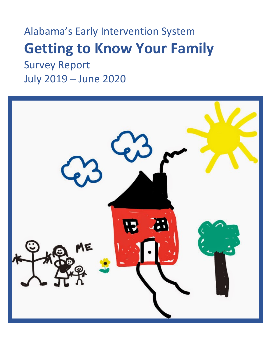# Alabama's Early Intervention System **Getting to Know Your Family** Survey Report

July 2019 – June 2020

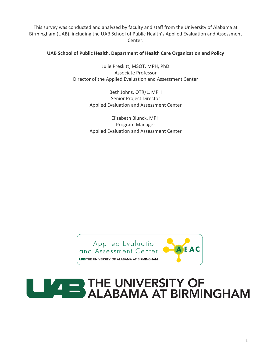This survey was conducted and analyzed by faculty and staff from the University of Alabama at Birmingham (UAB), including the UAB School of Public Health's Applied Evaluation and Assessment Center.

#### **UAB School of Public Health, Department of Health Care Organization and Policy**

Julie Preskitt, MSOT, MPH, PhD Associate Professor Director of the Applied Evaluation and Assessment Center

> Beth Johns, OTR/L, MPH Senior Project Director Applied Evaluation and Assessment Center

> Elizabeth Blunck, MPH Program Manager Applied Evaluation and Assessment Center



## **EXAMPLE THE UNIVERSITY OF** ALABAMA AT BIRMINGHAM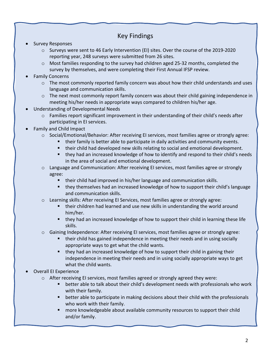### Key Findings

- Survey Responses
	- o Surveys were sent to 46 Early Intervention (EI) sites. Over the course of the 2019-2020 reporting year, 248 surveys were submitted from 26 sites.
	- o Most families responding to the survey had children aged 25-32 months, completed the survey by themselves, and were completing their First Annual IFSP review.
- Family Concerns
	- $\circ$  The most commonly reported family concern was about how their child understands and uses language and communication skills.
	- $\circ$  The next most commonly report family concern was about their child gaining independence in meeting his/her needs in appropriate ways compared to children his/her age.
- Understanding of Developmental Needs
	- $\circ$  Families report significant improvement in their understanding of their child's needs after participating in EI services.
- Family and Child Impact
	- o Social/Emotional/Behavior: After receiving EI services, most families agree or strongly agree:
		- § their family is better able to participate in daily activities and community events.
			- § their child had developed new skills relating to social and emotional development.
			- they had an increased knowledge of how to identify and respond to their child's needs in the area of social and emotional development.
	- o Language and Communication: After receiving EI services, most families agree or strongly agree:
		- their child had improved in his/her language and communication skills.
		- they themselves had an increased knowledge of how to support their child's language and communication skills.
	- $\circ$  Learning skills: After receiving EI Services, most families agree or strongly agree:
		- their children had learned and use new skills in understanding the world around him/her.
		- they had an increased knowledge of how to support their child in learning these life skills.
	- $\circ$  Gaining Independence: After receiving EI services, most families agree or strongly agree:
		- § their child has gained independence in meeting their needs and in using socially appropriate ways to get what the child wants.
		- § they had an increased knowledge of how to support their child in gaining their independence in meeting their needs and in using socially appropriate ways to get what the child wants.
- Overall EI Experience
	- $\circ$  After receiving EI services, most families agreed or strongly agreed they were:
		- § better able to talk about their child's development needs with professionals who work with their family.
		- better able to participate in making decisions about their child with the professionals who work with their family.
		- § more knowledgeable about available community resources to support their child and/or family.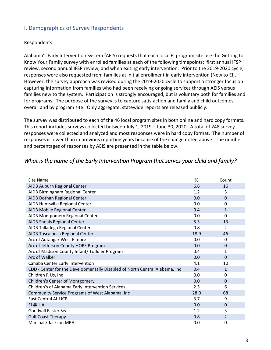#### I. Demographics of Survey Respondents

#### Respondents

Alabama's Early Intervention System (AEIS) requests that each local EI program site use the Getting to Know Your Family survey with enrolled families at each of the following timepoints: first annual IFSP review, second annual IFSP review, and when exiting early intervention. Prior to the 2019-2020 cycle, responses were also requested from families at initial enrollment in early intervention (New to EI). However, the survey approach was revised during the 2019-2020 cycle to support a stronger focus on capturing information from families who had been receiving ongoing services through AEIS versus families new to the system. Participation is strongly encouraged, but is voluntary both for families and for programs. The purpose of the survey is to capture satisfaction and family and child outcomes overall and by program site. Only aggregate, statewide reports are released publicly.

The survey was distributed to each of the 46 local program sites in both online and hard copy formats. This report includes surveys collected between July 1, 2019 – June 30, 2020. A total of 248 survey responses were collected and analyzed and most responses were in hard copy format. The number of responses is lower than in previous reporting years because of the change noted above. The number and percentages of responses by AEIS are presented in the table below.

| Site Name                                                                   | %    | Count        |
|-----------------------------------------------------------------------------|------|--------------|
| AIDB Auburn Regional Center                                                 | 6.6  | 16           |
| AIDB Birmingham Regional Center                                             | 1.2  | 3            |
| AIDB Dothan Regional Center                                                 | 0.0  | 0            |
| AIDB Huntsville Regional Center                                             | 0.0  | 0            |
| AIDB Mobile Regional Center                                                 | 0.4  | $\mathbf{1}$ |
| AIDB Montgomery Regional Center                                             | 0.0  | 0            |
| AIDB Shoals Regional Center                                                 | 5.3  | 13           |
| AIDB Talladega Regional Center                                              | 0.8  | 2            |
| AIDB Tuscaloosa Regional Center                                             | 18.9 | 46           |
| Arc of Autauga/ West Elmore                                                 | 0.0  | 0            |
| Arc of Jefferson County HOPE Program                                        | 0.0  | 0            |
| Arc of Madison County Infant/ Toddler Program                               | 0.4  | 1            |
| Arc of Walker                                                               | 0.0  | 0            |
| Cahaba Center Early Intervention                                            | 4.1  | 10           |
| CDD - Center for the Developmentally Disabled of North Central Alabama, Inc | 0.4  | 1            |
| Children R Us, Inc                                                          | 0.0  | 0            |
| Children's Center of Montgomery                                             | 0.0  | 0            |
| Children's of Alabama Early Intervention Services                           | 2.5  | 6            |
| Community Service Programs of West Alabama, Inc                             | 28.0 | 68           |
| <b>East Central AL UCP</b>                                                  | 3.7  | 9            |
| EI @ UA                                                                     | 0.0  | 0            |
| <b>Goodwill Easter Seals</b>                                                | 1.2  | 3            |
| <b>Gulf Coast Therapy</b>                                                   | 0.8  | 2            |
| Marshall/ Jackson MRA                                                       | 0.0  | 0            |

#### *What is the name of the Early Intervention Program that serves your child and family?*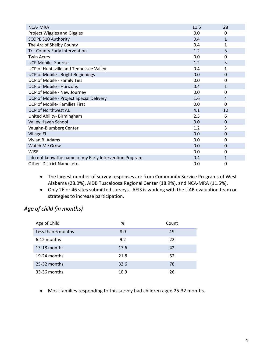| <b>NCA-MRA</b>                                          | 11.5 | 28           |
|---------------------------------------------------------|------|--------------|
| Project Wiggles and Giggles                             | 0.0  | 0            |
| <b>SCOPE 310 Authority</b>                              | 0.4  | $\mathbf{1}$ |
| The Arc of Shelby County                                | 0.4  | 1            |
| Tri- County Early Intervention                          | 1.2  | 3            |
| <b>Twin Acres</b>                                       | 0.0  | 0            |
| <b>UCP Mobile- Sunrise</b>                              | 1.2  | 3            |
| UCP of Huntsville and Tennessee Valley                  | 0.4  | 1            |
| UCP of Mobile - Bright Beginnings                       | 0.0  | 0            |
| <b>UCP of Mobile - Family Ties</b>                      | 0.0  | 0            |
| <b>UCP of Mobile - Horizons</b>                         | 0.4  | $\mathbf{1}$ |
| UCP of Mobile - New Journey                             | 0.0  | 0            |
| UCP of Mobile - Project Special Delivery                | 1.6  | 4            |
| <b>UCP of Mobile- Families First</b>                    | 0.0  | 0            |
| <b>UCP of Northwest AL</b>                              | 4.1  | 10           |
| United Ability- Birmingham                              | 2.5  | 6            |
| Valley Haven School                                     | 0.0  | 0            |
| Vaughn-Blumberg Center                                  | 1.2  | 3            |
| <b>Village EI</b>                                       | 0.0  | 0            |
| Vivian B. Adams                                         | 0.0  | 0            |
| Watch Me Grow                                           | 0.0  | 0            |
| <b>WISE</b>                                             | 0.0  | 0            |
| I do not know the name of my Early Intervention Program | 0.4  | 1            |
| Other-District Name, etc.                               | 0.0  | 0            |

- The largest number of survey responses are from Community Service Programs of West Alabama (28.0%), AIDB Tuscaloosa Regional Center (18.9%), and NCA-MRA (11.5%).
- Only 26 or 46 sites submitted surveys. AEIS is working with the UAB evaluation team on strategies to increase participation.

#### *Age of child (in months)*

| Age of Child       | %    | Count |
|--------------------|------|-------|
| Less than 6 months | 8.0  | 19    |
| 6-12 months        | 9.2  | 22    |
| 13-18 months       | 17.6 | 42    |
| 19-24 months       | 21.8 | 52    |
| 25-32 months       | 32.6 | 78    |
| 33-36 months       | 10.9 | 26    |

• Most families responding to this survey had children aged 25-32 months.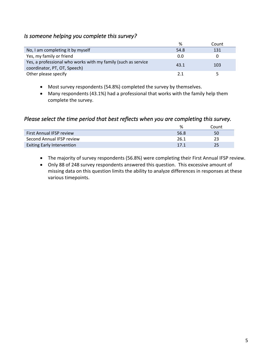#### *Is someone helping you complete this survey?*

|                                                                                               | %    | Count |
|-----------------------------------------------------------------------------------------------|------|-------|
| No, I am completing it by myself                                                              | 54.8 | 131   |
| Yes, my family or friend                                                                      | 0.0  | 0     |
| Yes, a professional who works with my family (such as service<br>coordinator, PT, OT, Speech) | 43.1 | 103   |
| Other please specify                                                                          | 21   |       |

- Most survey respondents (54.8%) completed the survey by themselves.
- Many respondents (43.1%) had a professional that works with the family help them complete the survey.

#### *Please select the time period that best reflects when you are completing this survey.*

|                                   | %    | Count |
|-----------------------------------|------|-------|
| <b>First Annual IFSP review</b>   | 56.8 | 50    |
| Second Annual IFSP review         | 26.1 | 23    |
| <b>Exiting Early Intervention</b> | 17.1 | 25    |

- The majority of survey respondents (56.8%) were completing their First Annual IFSP review.
- Only 88 of 248 survey respondents answered this question. This excessive amount of missing data on this question limits the ability to analyze differences in responses at these various timepoints.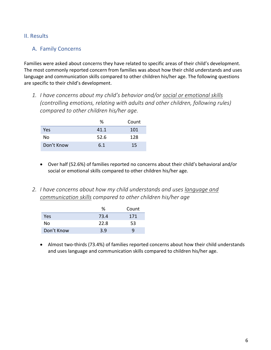#### II. Results

#### A. Family Concerns

Families were asked about concerns they have related to specific areas of their child's development. The most commonly reported concern from families was about how their child understands and uses language and communication skills compared to other children his/her age. The following questions are specific to their child's development.

*1. I have concerns about my child's behavior and/or social or emotional skills (controlling emotions, relating with adults and other children, following rules) compared to other children his/her age.*

|            | ℅    | Count |
|------------|------|-------|
| Yes        | 41.1 | 101   |
| No         | 52.6 | 128   |
| Don't Know | 6.1  | 15    |

- Over half (52.6%) of families reported no concerns about their child's behavioral and/or social or emotional skills compared to other children his/her age.
- *2. I have concerns about how my child understands and uses language and communication skills compared to other children his/her age*

|            | %    | Count |
|------------|------|-------|
| Yes        | 73.4 | 171   |
| No         | 22.8 | 53    |
| Don't Know | 3.9  |       |

• Almost two-thirds (73.4%) of families reported concerns about how their child understands and uses language and communication skills compared to children his/her age.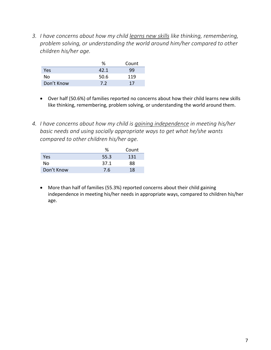*3. I have concerns about how my child learns new skills like thinking, remembering, problem solving, or understanding the world around him/her compared to other children his/her age.*

|            | %    | Count |
|------------|------|-------|
| Yes        | 42.1 | 99    |
| No         | 50.6 | 119   |
| Don't Know | 7.2  | 17    |

- Over half (50.6%) of families reported no concerns about how their child learns new skills like thinking, remembering, problem solving, or understanding the world around them.
- *4. I have concerns about how my child is gaining independence in meeting his/her basic needs and using socially appropriate ways to get what he/she wants compared to other children his/her age.*

|            | ℅    | Count |
|------------|------|-------|
| Yes        | 55.3 | 131   |
| Nο         | 37.1 | 88    |
| Don't Know | 7.6  | 18    |

• More than half of families (55.3%) reported concerns about their child gaining independence in meeting his/her needs in appropriate ways, compared to children his/her age.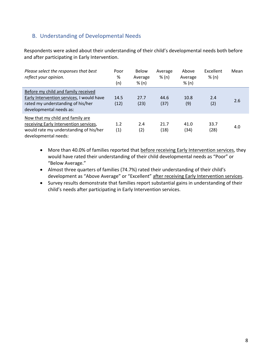#### B. Understanding of Developmental Needs

Respondents were asked about their understanding of their child's developmental needs both before and after participating in Early Intervention.

| Please select the responses that best<br>reflect your opinion.                                                                                   | Poor<br>%<br>(n) | Below<br>Average<br>% (n) | Average<br>% (n) | Above<br>Average<br>% (n) | Excellent<br>% (n) | Mean |
|--------------------------------------------------------------------------------------------------------------------------------------------------|------------------|---------------------------|------------------|---------------------------|--------------------|------|
| Before my child and family received<br>Early Intervention services, I would have<br>rated my understanding of his/her<br>developmental needs as: | 14.5<br>(12)     | 27.7<br>(23)              | 44.6<br>(37)     | 10.8<br>(9)               | 2.4<br>(2)         | 2.6  |
| Now that my child and family are<br>receiving Early Intervention services,<br>would rate my understanding of his/her<br>developmental needs:     | 1.2<br>(1)       | 2.4<br>(2)                | 21.7<br>(18)     | 41.0<br>(34)              | 33.7<br>(28)       | 4.0  |

- More than 40.0% of families reported that before receiving Early Intervention services, they would have rated their understanding of their child developmental needs as "Poor" or "Below Average."
- Almost three quarters of families (74.7%) rated their understanding of their child's development as "Above Average" or "Excellent" after receiving Early Intervention services.
- Survey results demonstrate that families report substantial gains in understanding of their child's needs after participating in Early Intervention services.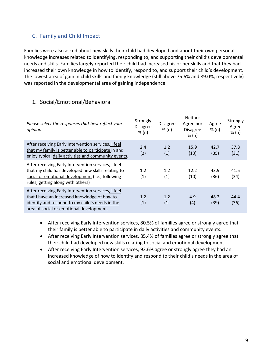#### C. Family and Child Impact

Families were also asked about new skills their child had developed and about their own personal knowledge increases related to identifying, responding to, and supporting their child's developmental needs and skills. Families largely reported their child had increased his or her skills and that they had increased their own knowledge in how to identify, respond to, and support their child's development. The lowest area of gain in child skills and family knowledge (still above 75.6% and 89.0%, respectively) was reported in the developmental area of gaining independence.

#### 1. Social/Emotional/Behavioral

| Please select the responses that best reflect your<br>opinion.                                                                                                                                     | Strongly<br><b>Disagree</b><br>% (n) | <b>Disagree</b><br>% (n) | <b>Neither</b><br>Agree nor<br><b>Disagree</b><br>% (n) | Agree<br>% (n) | Strongly<br>Agree<br>% (n) |
|----------------------------------------------------------------------------------------------------------------------------------------------------------------------------------------------------|--------------------------------------|--------------------------|---------------------------------------------------------|----------------|----------------------------|
| After receiving Early Intervention services, I feel<br>that my family is better able to participate in and<br>enjoy typical daily activities and community events.                                 | 2.4<br>(2)                           | 1.2<br>(1)               | 15.9<br>(13)                                            | 42.7<br>(35)   | 37.8<br>(31)               |
| After receiving Early Intervention services, I feel<br>that my child has developed new skills relating to<br>social or emotional development (i.e., following<br>rules, getting along with others) | 1.2<br>(1)                           | 1.2<br>(1)               | 12.2<br>(10)                                            | 43.9<br>(36)   | 41.5<br>(34)               |
| After receiving Early Intervention services, I feel<br>that I have an increased knowledge of how to<br>identify and respond to my child's needs in the<br>area of social or emotional development. | 1.2<br>(1)                           | 1.2<br>(1)               | 4.9<br>(4)                                              | 48.2<br>(39)   | 44.4<br>(36)               |

- After receiving Early Intervention services, 80.5% of families agree or strongly agree that their family is better able to participate in daily activities and community events.
- After receiving Early Intervention services, 85.4% of families agree or strongly agree that their child had developed new skills relating to social and emotional development.
- After receiving Early Intervention services, 92.6% agree or strongly agree they had an increased knowledge of how to identify and respond to their child's needs in the area of social and emotional development.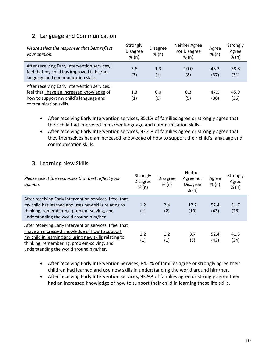#### 2. Language and Communication

| Please select the responses that best reflect<br>your opinion.                                                                                                  | Strongly<br><b>Disagree</b><br>% (n) | <b>Disagree</b><br>% (n) | Neither Agree<br>nor Disagree<br>% (n) | Agree<br>% (n) | Strongly<br>Agree<br>% (n) |
|-----------------------------------------------------------------------------------------------------------------------------------------------------------------|--------------------------------------|--------------------------|----------------------------------------|----------------|----------------------------|
| After receiving Early Intervention services, I<br>feel that my child has improved in his/her<br>language and communication skills.                              | 3.6<br>(3)                           | 1.3<br>(1)               | 10.0<br>(8)                            | 46.3<br>(37)   | 38.8<br>(31)               |
| After receiving Early Intervention services, I<br>feel that I have an increased knowledge of<br>how to support my child's language and<br>communication skills. | 1.3<br>$\left( 1\right)$             | 0.0<br>(0)               | 6.3<br>(5)                             | 47.5<br>(38)   | 45.9<br>(36)               |

- After receiving Early Intervention services, 85.1% of families agree or strongly agree that their child had improved in his/her language and communication skills.
- After receiving Early Intervention services, 93.4% of families agree or strongly agree that they themselves had an increased knowledge of how to support their child's language and communication skills.

#### 3. Learning New Skills

| Please select the responses that best reflect your<br>opinion.                                                                                                                                                                                                 | Strongly<br><b>Disagree</b><br>% (n) | <b>Disagree</b><br>% (n) | <b>Neither</b><br>Agree nor<br><b>Disagree</b><br>% (n) | Agree<br>% (n) | Strongly<br>Agree<br>% (n) |
|----------------------------------------------------------------------------------------------------------------------------------------------------------------------------------------------------------------------------------------------------------------|--------------------------------------|--------------------------|---------------------------------------------------------|----------------|----------------------------|
| After receiving Early Intervention services, I feel that<br>my child has learned and uses new skills relating to<br>thinking, remembering, problem-solving, and<br>understanding the world around him/her.                                                     | 1.2<br>(1)                           | 2.4<br>(2)               | 12.2<br>(10)                                            | 52.4<br>(43)   | 31.7<br>(26)               |
| After receiving Early Intervention services, I feel that<br>I have an increased knowledge of how to support<br>my child in learning and using new skills relating to<br>thinking, remembering, problem-solving, and<br>understanding the world around him/her. | 1.2<br>(1)                           | 1.2<br>(1)               | 3.7<br>(3)                                              | 52.4<br>(43)   | 41.5<br>(34)               |

- After receiving Early Intervention Services, 84.1% of families agree or strongly agree their children had learned and use new skills in understanding the world around him/her.
- After receiving Early Intervention services, 93.9% of families agree or strongly agree they had an increased knowledge of how to support their child in learning these life skills.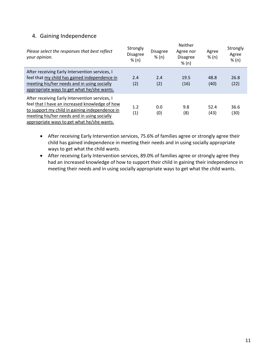#### 4. Gaining Independence

| Please select the responses that best reflect<br>your opinion.                                                                                                                                                                                  | Strongly<br><b>Disagree</b><br>% (n) | <b>Disagree</b><br>% (n) | <b>Neither</b><br>Agree nor<br><b>Disagree</b><br>% (n) | Agree<br>% (n) | Strongly<br>Agree<br>% (n) |
|-------------------------------------------------------------------------------------------------------------------------------------------------------------------------------------------------------------------------------------------------|--------------------------------------|--------------------------|---------------------------------------------------------|----------------|----------------------------|
| After receiving Early Intervention services, I<br>feel that my child has gained independence in<br>meeting his/her needs and in using socially<br>appropriate ways to get what he/she wants.                                                    | 2.4<br>(2)                           | 2.4<br>(2)               | 19.5<br>(16)                                            | 48.8<br>(40)   | 26.8<br>(22)               |
| After receiving Early Intervention services, I<br>feel that I have an increased knowledge of how<br>to support my child in gaining independence in<br>meeting his/her needs and in using socially<br>appropriate ways to get what he/she wants. | 1.2<br>(1)                           | 0.0<br>(0)               | 9.8<br>(8)                                              | 52.4<br>(43)   | 36.6<br>(30)               |

- After receiving Early Intervention services, 75.6% of families agree or strongly agree their child has gained independence in meeting their needs and in using socially appropriate ways to get what the child wants.
- After receiving Early Intervention services, 89.0% of families agree or strongly agree they had an increased knowledge of how to support their child in gaining their independence in meeting their needs and in using socially appropriate ways to get what the child wants.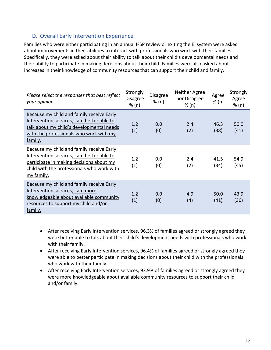#### D. Overall Early Intervention Experience

Families who were either participating in an annual IFSP review or exiting the EI system were asked about improvements in their abilities to interact with professionals who work with their families. Specifically, they were asked about their ability to talk about their child's developmental needs and their ability to participate in making decisions about their child. Families were also asked about increases in their knowledge of community resources that can support their child and family.

| Please select the responses that best reflect<br>your opinion.                                                                                                                                  | Strongly<br><b>Disagree</b><br>% (n) | Disagree<br>% (n) | Neither Agree<br>nor Disagree<br>% (n) | Agree<br>% (n) | Strongly<br>Agree<br>% (n) |
|-------------------------------------------------------------------------------------------------------------------------------------------------------------------------------------------------|--------------------------------------|-------------------|----------------------------------------|----------------|----------------------------|
| Because my child and family receive Early<br>Intervention services, I am better able to<br>talk about my child's developmental needs<br>with the professionals who work with my<br>family.      | 1.2<br>(1)                           | 0.0<br>(0)        | 2.4<br>(2)                             | 46.3<br>(38)   | 50.0<br>(41)               |
| Because my child and family receive Early<br>Intervention services, I am better able to<br>participate in making decisions about my<br>child with the professionals who work with<br>my family. | 1.2<br>(1)                           | 0.0<br>(0)        | 2.4<br>(2)                             | 41.5<br>(34)   | 54.9<br>(45)               |
| Because my child and family receive Early<br>Intervention services, I am more<br>knowledgeable about available community<br>resources to support my child and/or<br>family.                     | 1.2<br>(1)                           | 0.0<br>(0)        | 4.9<br>(4)                             | 50.0<br>(41)   | 43.9<br>(36)               |

- After receiving Early Intervention services, 96.3% of families agreed or strongly agreed they were better able to talk about their child's development needs with professionals who work with their family.
- After receiving Early Intervention services, 96.4% of families agreed or strongly agreed they were able to better participate in making decisions about their child with the professionals who work with their family.
- After receiving Early Intervention services, 93.9% of families agreed or strongly agreed they were more knowledgeable about available community resources to support their child and/or family.